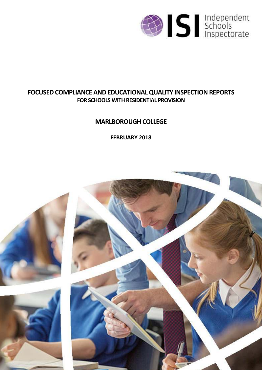

# **FOCUSED COMPLIANCE AND EDUCATIONAL QUALITY INSPECTION REPORTS FOR SCHOOLS WITH RESIDENTIAL PROVISION**

# **MARLBOROUGH COLLEGE**

**FEBRUARY 2018**

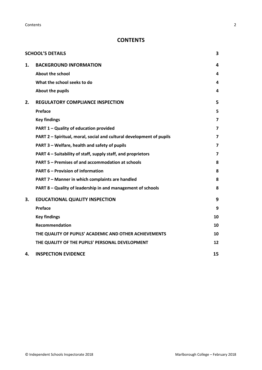**Contents** 2

## **CONTENTS**

|    | <b>SCHOOL'S DETAILS</b>                                              | 3                       |
|----|----------------------------------------------------------------------|-------------------------|
| 1. | <b>BACKGROUND INFORMATION</b>                                        | 4                       |
|    | About the school                                                     | 4                       |
|    | What the school seeks to do                                          | 4                       |
|    | About the pupils                                                     | 4                       |
| 2. | <b>REGULATORY COMPLIANCE INSPECTION</b>                              | 5                       |
|    | Preface                                                              | 5                       |
|    | <b>Key findings</b>                                                  | 7                       |
|    | PART 1 - Quality of education provided                               | $\overline{\mathbf{z}}$ |
|    | PART 2 - Spiritual, moral, social and cultural development of pupils | 7                       |
|    | PART 3 - Welfare, health and safety of pupils                        | 7                       |
|    | PART 4 – Suitability of staff, supply staff, and proprietors         | 7                       |
|    | PART 5 - Premises of and accommodation at schools                    | 8                       |
|    | <b>PART 6 - Provision of information</b>                             | 8                       |
|    | PART 7 - Manner in which complaints are handled                      | 8                       |
|    | PART 8 - Quality of leadership in and management of schools          | 8                       |
| 3. | <b>EDUCATIONAL QUALITY INSPECTION</b>                                | 9                       |
|    | <b>Preface</b>                                                       | 9                       |
|    | <b>Key findings</b>                                                  | 10                      |
|    | <b>Recommendation</b>                                                | 10                      |
|    | THE QUALITY OF PUPILS' ACADEMIC AND OTHER ACHIEVEMENTS               | 10                      |
|    | THE QUALITY OF THE PUPILS' PERSONAL DEVELOPMENT                      | 12                      |
| 4. | <b>INSPECTION EVIDENCE</b>                                           | 15                      |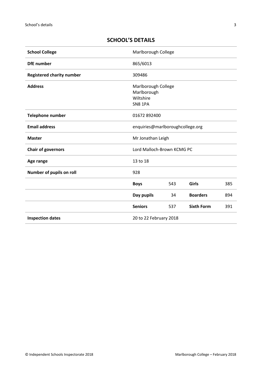## **SCHOOL'S DETAILS**

| <b>School College</b>            | Marlborough College                                        |     |                   |     |
|----------------------------------|------------------------------------------------------------|-----|-------------------|-----|
| <b>DfE</b> number                | 865/6013                                                   |     |                   |     |
| <b>Registered charity number</b> | 309486                                                     |     |                   |     |
| <b>Address</b>                   | Marlborough College<br>Marlborough<br>Wiltshire<br>SN8 1PA |     |                   |     |
| Telephone number                 | 01672 892400                                               |     |                   |     |
| <b>Email address</b>             | enquiries@marlboroughcollege.org                           |     |                   |     |
| <b>Master</b>                    | Mr Jonathan Leigh                                          |     |                   |     |
| <b>Chair of governors</b>        | Lord Malloch-Brown KCMG PC                                 |     |                   |     |
| Age range                        | 13 to 18                                                   |     |                   |     |
| Number of pupils on roll         | 928                                                        |     |                   |     |
|                                  | <b>Boys</b>                                                | 543 | Girls             | 385 |
|                                  | Day pupils                                                 | 34  | <b>Boarders</b>   | 894 |
|                                  | <b>Seniors</b>                                             | 537 | <b>Sixth Form</b> | 391 |
| <b>Inspection dates</b>          | 20 to 22 February 2018                                     |     |                   |     |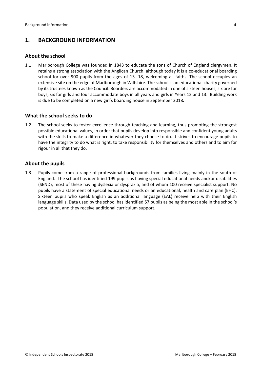## **1. BACKGROUND INFORMATION**

#### **About the school**

1.1 Marlborough College was founded in 1843 to educate the sons of Church of England clergymen. It retains a strong association with the Anglican Church, although today it is a co-educational boarding school for over 900 pupils from the ages of 13 -18, welcoming all faiths. The school occupies an extensive site on the edge of Marlborough in Wiltshire. The school is an educational charity governed by its trustees known as the Council. Boarders are accommodated in one of sixteen houses, six are for boys, six for girls and four accommodate boys in all years and girls in Years 12 and 13. Building work is due to be completed on a new girl's boarding house in September 2018.

## **What the school seeks to do**

1.2 The school seeks to foster excellence through teaching and learning, thus promoting the strongest possible educational values, in order that pupils develop into responsible and confident young adults with the skills to make a difference in whatever they choose to do. It strives to encourage pupils to have the integrity to do what is right, to take responsibility for themselves and others and to aim for rigour in all that they do.

#### **About the pupils**

1.3 Pupils come from a range of professional backgrounds from families living mainly in the south of England. The school has identified 199 pupils as having special educational needs and/or disabilities (SEND), most of these having dyslexia or dyspraxia, and of whom 100 receive specialist support. No pupils have a statement of special educational needs or an educational, health and care plan (EHC). Sixteen pupils who speak English as an additional language (EAL) receive help with their English language skills. Data used by the school has identified 57 pupils as being the most able in the school's population, and they receive additional curriculum support.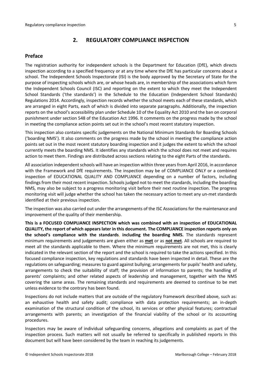## **2. REGULATORY COMPLIANCE INSPECTION**

#### **Preface**

The registration authority for independent schools is the Department for Education (DfE), which directs inspection according to a specified frequency or at any time where the DfE has particular concerns about a school. The Independent Schools Inspectorate (ISI) is the body approved by the Secretary of State for the purpose of inspecting schools which are, or whose heads are, in membership of the associations which form the Independent Schools Council (ISC) and reporting on the extent to which they meet the Independent School Standards ('the standards') in the Schedule to the Education (Independent School Standards) Regulations 2014. Accordingly, inspection records whether the school meets each of these standards, which are arranged in eight Parts, each of which is divided into separate paragraphs. Additionally, the inspection reports on the school's accessibility plan under Schedule 10 of the Equality Act 2010 and the ban on corporal punishment under section 548 of the Education Act 1996. It comments on the progress made by the school in meeting the compliance action points set out in the school's most recent statutory inspection.

This inspection also contains specific judgements on the National Minimum Standards for Boarding Schools ('boarding NMS'). It also comments on the progress made by the school in meeting the compliance action points set out in the most recent statutory boarding inspection and it judges the extent to which the school currently meets the boarding NMS. It identifies any standards which the school does not meet and requires action to meet them. Findings are distributed across sections relating to the eight Parts of the standards.

All association independent schools will have an inspection within three years from April 2016, in accordance with the Framework and DfE requirements. The inspection may be of COMPLIANCE ONLY or a combined inspection of EDUCATIONAL QUALITY AND COMPLIANCE depending on a number of factors, including findings from their most recent inspection. Schools judged not to meet the standards, including the boarding NMS, may also be subject to a progress monitoring visit before their next routine inspection. The progress monitoring visit will judge whether the school has taken the necessary action to meet any un-met standards identified at their previous inspection.

The inspection was also carried out under the arrangements of the ISC Associations for the maintenance and improvement of the quality of their membership.

**This is a FOCUSED COMPLIANCE INSPECTION which was combined with an inspection of EDUCATIONAL QUALITY, the report of which appears later in this document. The COMPLIANCE inspection reports only on the school's compliance with the standards**, **including the boarding NMS.** The standards represent minimum requirements and judgements are given either as **met** or as **not met**. All schools are required to meet all the standards applicable to them. Where the minimum requirements are not met, this is clearly indicated in the relevant section of the report and the school is required to take the actions specified. In this focused compliance inspection, key regulations and standards have been inspected in detail. These are the regulations on safeguarding; measures to guard against bullying; arrangements for pupils' health and safety, arrangements to check the suitability of staff; the provision of information to parents; the handling of parents' complaints; and other related aspects of leadership and management, together with the NMS covering the same areas. The remaining standards and requirements are deemed to continue to be met unless evidence to the contrary has been found.

Inspections do not include matters that are outside of the regulatory framework described above, such as: an exhaustive health and safety audit; compliance with data protection requirements; an in-depth examination of the structural condition of the school, its services or other physical features; contractual arrangements with parents; an investigation of the financial viability of the school or its accounting procedures.

Inspectors may be aware of individual safeguarding concerns, allegations and complaints as part of the inspection process. Such matters will not usually be referred to specifically in published reports in this document but will have been considered by the team in reaching its judgements.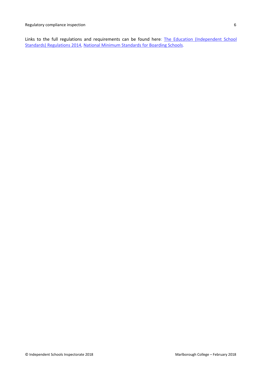Links to the full regulations and requirements can be found here: The Education (Independent School Standards) Regulations 2014, National Minimum Standards for Boarding Schools.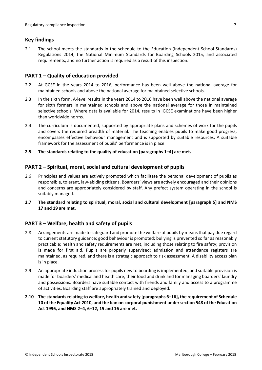## **Key findings**

2.1 The school meets the standards in the schedule to the Education (Independent School Standards) Regulations 2014, the National Minimum Standards for Boarding Schools 2015, and associated requirements, and no further action is required as a result of this inspection.

## **PART 1 – Quality of education provided**

- 2.2 At GCSE in the years 2014 to 2016, performance has been well above the national average for maintained schools and above the national average for maintained selective schools.
- 2.3 In the sixth form, A-level results in the years 2014 to 2016 have been well above the national average for sixth formers in maintained schools and above the national average for those in maintained selective schools. Where data is available for 2014, results in IGCSE examinations have been higher than worldwide norms.
- 2.4 The curriculum is documented, supported by appropriate plans and schemes of work for the pupils and covers the required breadth of material. The teaching enables pupils to make good progress, encompasses effective behaviour management and is supported by suitable resources. A suitable framework for the assessment of pupils' performance is in place.
- **2.5 The standards relating to the quality of education [paragraphs 1–4] are met.**

## **PART 2 – Spiritual, moral, social and cultural development of pupils**

- 2.6 Principles and values are actively promoted which facilitate the personal development of pupils as responsible, tolerant, law-abiding citizens. Boarders' views are actively encouraged and their opinions and concerns are appropriately considered by staff. Any prefect system operating in the school is suitably managed.
- **2.7 The standard relating to spiritual, moral, social and cultural development [paragraph 5] and NMS 17 and 19 are met.**

## **PART 3 – Welfare, health and safety of pupils**

- 2.8 Arrangements are made to safeguard and promote the welfare of pupils by means that pay due regard to current statutory guidance; good behaviour is promoted; bullying is prevented so far as reasonably practicable; health and safety requirements are met, including those relating to fire safety; provision is made for first aid. Pupils are properly supervised; admission and attendance registers are maintained, as required, and there is a strategic approach to risk assessment. A disability access plan is in place.
- 2.9 An appropriate induction process for pupils new to boarding is implemented, and suitable provision is made for boarders' medical and health care, their food and drink and for managing boarders' laundry and possessions. Boarders have suitable contact with friends and family and access to a programme of activities. Boarding staff are appropriately trained and deployed.
- **2.10 The standards relating to welfare, health and safety [paragraphs 6–16], the requirement of Schedule 10 of the Equality Act 2010, and the ban on corporal punishment under section 548 of the Education Act 1996, and NMS 2–4, 6–12, 15 and 16 are met.**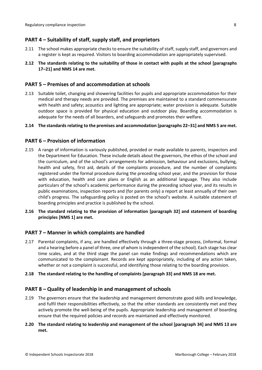## **PART 4 – Suitability of staff, supply staff, and proprietors**

- 2.11 The school makes appropriate checks to ensure the suitability of staff, supply staff, and governors and a register is kept as required. Visitors to boarding accommodation are appropriately supervised.
- **2.12 The standards relating to the suitability of those in contact with pupils at the school [paragraphs 17–21] and NMS 14 are met.**

#### **PART 5 – Premises of and accommodation at schools**

2.13 Suitable toilet, changing and showering facilities for pupils and appropriate accommodation for their medical and therapy needs are provided. The premises are maintained to a standard commensurate with health and safety; acoustics and lighting are appropriate; water provision is adequate. Suitable outdoor space is provided for physical education and outdoor play. Boarding accommodation is adequate for the needs of all boarders, and safeguards and promotes their welfare.

#### **2.14 The standards relating to the premises and accommodation [paragraphs 22–31] and NMS 5 are met.**

#### **PART 6 – Provision of information**

- 2.15 A range of information is variously published, provided or made available to parents, inspectors and the Department for Education. These include details about the governors, the ethos of the school and the curriculum, and of the school's arrangements for admission, behaviour and exclusions, bullying, health and safety, first aid, details of the complaints procedure, and the number of complaints registered under the formal procedure during the preceding school year, and the provision for those with education, health and care plans or English as an additional language. They also include particulars of the school's academic performance during the preceding school year, and its results in public examinations, inspection reports and (for parents only) a report at least annually of their own child's progress. The safeguarding policy is posted on the school's website. A suitable statement of boarding principles and practice is published by the school.
- **2.16 The standard relating to the provision of information [paragraph 32] and statement of boarding principles [NMS 1] are met.**

## **PART 7 – Manner in which complaints are handled**

- 2.17 Parental complaints, if any, are handled effectively through a three-stage process, (informal, formal and a hearing before a panel of three, one of whom is independent of the school). Each stage has clear time scales, and at the third stage the panel can make findings and recommendations which are communicated to the complainant. Records are kept appropriately, including of any action taken, whether or not a complaint is successful, and identifying those relating to the boarding provision.
- **2.18 The standard relating to the handling of complaints [paragraph 33] and NMS 18 are met.**

#### **PART 8 – Quality of leadership in and management of schools**

2.19 The governors ensure that the leadership and management demonstrate good skills and knowledge, and fulfil their responsibilities effectively, so that the other standards are consistently met and they actively promote the well-being of the pupils. Appropriate leadership and management of boarding ensure that the required policies and records are maintained and effectively monitored.

#### **2.20 The standard relating to leadership and management of the school [paragraph 34] and NMS 13 are met.**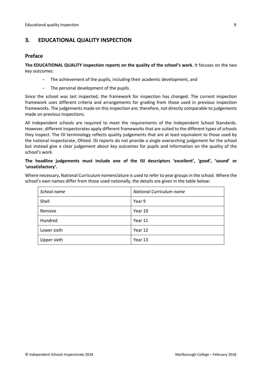## **3. EDUCATIONAL QUALITY INSPECTION**

#### **Preface**

**The EDUCATIONAL QUALITY inspection reports on the quality of the school's work**. It focuses on the two key outcomes:

- The achievement of the pupils, including their academic development, and
- The personal development of the pupils.

Since the school was last inspected, the framework for inspection has changed. The current inspection framework uses different criteria and arrangements for grading from those used in previous inspection frameworks. The judgements made on this inspection are, therefore, not directly comparable to judgements made on previous inspections.

All independent schools are required to meet the requirements of the Independent School Standards. However, different inspectorates apply different frameworks that are suited to the different types of schools they inspect. The ISI terminology reflects quality judgements that are at least equivalent to those used by the national inspectorate, Ofsted. ISI reports do not provide a single overarching judgement for the school but instead give a clear judgement about key outcomes for pupils and information on the quality of the school's work.

## **The headline judgements must include one of the ISI descriptors 'excellent', 'good', 'sound' or 'unsatisfactory'.**

Where necessary, National Curriculum nomenclature is used to refer to year groups in the school. Where the school's own names differ from those used nationally, the details are given in the table below:

| School name | National Curriculum name |  |  |
|-------------|--------------------------|--|--|
| Shell       | Year 9                   |  |  |
| Remove      | Year 10                  |  |  |
| Hundred     | Year 11                  |  |  |
| Lower sixth | Year 12                  |  |  |
| Upper sixth | Year 13                  |  |  |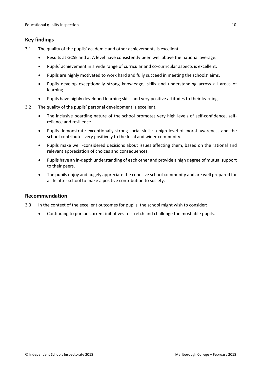## **Key findings**

- 3.1 The quality of the pupils' academic and other achievements is excellent.
	- $\bullet$ Results at GCSE and at A level have consistently been well above the national average.
	- $\bullet$ Pupils' achievement in a wide range of curricular and co-curricular aspects is excellent.
	- $\bullet$ Pupils are highly motivated to work hard and fully succeed in meeting the schools' aims.
	- $\bullet$  Pupils develop exceptionally strong knowledge, skills and understanding across all areas of learning.
	- $\bullet$ Pupils have highly developed learning skills and very positive attitudes to their learning,
- 3.2 The quality of the pupils' personal development is excellent.
	- $\bullet$  The inclusive boarding nature of the school promotes very high levels of self-confidence, selfreliance and resilience.
	- $\bullet$  Pupils demonstrate exceptionally strong social skills; a high level of moral awareness and the school contributes very positively to the local and wider community.
	- $\bullet$  Pupils make well -considered decisions about issues affecting them, based on the rational and relevant appreciation of choices and consequences.
	- $\bullet$  Pupils have an in-depth understanding of each other and provide a high degree of mutual support to their peers.
	- $\bullet$  The pupils enjoy and hugely appreciate the cohesive school community and are well prepared for a life after school to make a positive contribution to society.

## **Recommendation**

- 3.3 In the context of the excellent outcomes for pupils, the school might wish to consider:
	- $\bullet$ Continuing to pursue current initiatives to stretch and challenge the most able pupils.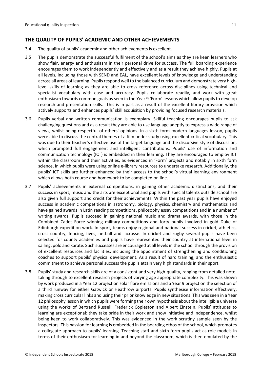## **THE QUALITY OF PUPILS' ACADEMIC AND OTHER ACHIEVEMENTS**

- 3.4 The quality of pupils' academic and other achievements is excellent.
- 3.5 The pupils demonstrate the successful fulfilment of the school's aims as they are keen learners who show flair, energy and enthusiasm in their personal drive for success. The full boarding experience encourages them to work independently and effectively and as a result they achieve highly. Pupils at all levels, including those with SEND and EAL, have excellent levels of knowledge and understanding across all areas of learning. Pupils respond well to the balanced curriculum and demonstrate very highlevel skills of learning as they are able to cross reference across disciplines using technical and specialist vocabulary with ease and accuracy. Pupils collaborate readily, and work with great enthusiasm towards common goals as seen in the Year 9 'Form' lessons which allow pupils to develop research and presentation skills. This is in part as a result of the excellent library provision which actively supports and enhances pupils' skill acquisition by providing focused research materials.
- 3.6 Pupils verbal and written communication is exemplary. Skilful teaching encourages pupils to ask challenging questions and as a result they are able to use language adeptly to express a wide range of views, whilst being respectful of others' opinions. In a sixth form modern languages lesson, pupils were able to discuss the central themes of a film under study using excellent critical vocabulary. This was due to their teacher's effective use of the target language and the discursive style of discussion, which prompted full engagement and intelligent contributions. Pupils' use of information and communication technology (ICT) is embedded in their learning. They are encouraged to employ ICT within the classroom and their activities, as evidenced in 'Form' projects and notably in sixth form science, in which pupils were using online e-library resources to undertake research. Additionally, the pupils' ICT skills are further enhanced by their access to the school's virtual learning environment which allows both course and homework to be completed on line.
- 3.7 Pupils' achievements in external competitions, in gaining other academic distinctions, and their success in sport, music and the arts are exceptional and pupils with special talents outside school are also given full support and credit for their achievements. Within the past year pupils have enjoyed success in academic competitions in astronomy, biology, physics, chemistry and mathematics and have gained awards in Latin reading competitions, philosophy essay competitions and in a number of writing awards. Pupils succeed in gaining national music and drama awards, with those in the Combined Cadet Force winning military competitions and forty pupils involved in gold Duke of Edinburgh expedition work. In sport, teams enjoy regional and national success in cricket, athletics, cross country, fencing, fives, netball and lacrosse. In cricket and rugby several pupils have been selected for county academies and pupils have represented their country at international level in sailing, polo and karate. Such successes are encouraged at all levels in the school through the provision of excellent resources and facilities, including the appointment of strengthening and conditioning coaches to support pupils' physical development. As a result of hard training, and the enthusiastic commitment to achieve personal success the pupils attain very high standards in their sport.
- 3.8 Pupils' study and research skills are of a consistent and very high-quality, ranging from detailed notetaking through to excellent research projects of varying age appropriate complexity. This was shown by work produced in a Year 12 project on solar flare emissions and a Year 9 project on the selection of a third runway for either Gatwick or Heathrow airports. Pupils synthesise information effectively, making cross curricular links and using their prior knowledge in new situations. This was seen in a Year 12 philosophy lesson in which pupils were forming their own hypothesis about the intelligible universe using the works of Bertrand Russell, Frederick Copleston and Albert Einstein. Pupils' attitudes to learning are exceptional: they take pride in their work and show initiative and independence, whilst being keen to work collaboratively. This was evidenced in the work scrutiny sample seen by the inspectors. This passion for learning is embedded in the boarding ethos of the school, which promotes a collegiate approach to pupils' learning. Teaching staff and sixth form pupils act as role models in terms of their enthusiasm for learning in and beyond the classroom, which is then emulated by the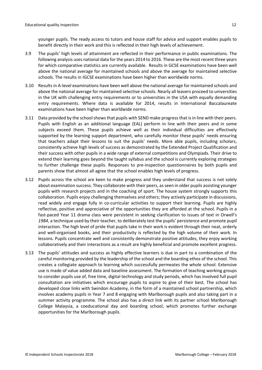younger pupils. The ready access to tutors and house staff for advice and support enables pupils to benefit directly in their work and this is reflected in their high levels of achievement.

- 3.9 The pupils' high levels of attainment are reflected in their performance in public examinations. The following analysis uses national data for the years 2014 to 2016. These are the most recent three years for which comparative statistics are currently available. Results in GCSE examinations have been well above the national average for maintained schools and above the average for maintained selective schools. The results in IGCSE examinations have been higher than worldwide norms.
- 3.10 Results in A-level examinations have been well above the national average for maintained schools and above the national average for maintained selective schools. Nearly all leavers proceed to universities in the UK with challenging entry requirements or to universities in the USA with equally demanding entry requirements. Where data is available for 2014, results in International Baccalaureate examinations have been higher than worldwide norms.
- 3.11 Data provided by the school shows that pupils with SEND make progress that is in line with their peers. Pupils with English as an additional language (EAL) perform in line with their peers and in some subjects exceed them. These pupils achieve well as their individual difficulties are effectively supported by the learning support department, who carefully monitor these pupils' needs ensuring that teachers adapt their lessons to suit the pupils' needs. More able pupils, including scholars, consistently achieve high levels of success as demonstrated by the Extended Project Qualification and their success with other pupils in a wide range of external competitions and Olympiads. Their drive to extend their learning goes beyond the taught syllabus and the school is currently exploring strategies to further challenge these pupils. Responses to pre-inspection questionnaires by both pupils and parents show that almost all agree that the school enables high levels of progress.
- 3.12 Pupils across the school are keen to make progress and they understand that success is not solely about examination success. They collaborate with their peers, as seen in older pupils assisting younger pupils with research projects and in the coaching of sport. The house system strongly supports this collaboration. Pupils enjoy challenging themselves and others; they actively participate in discussions, read widely and engage fully in co-curricular activities to support their learning. Pupils are highly reflective, positive and appreciative of the opportunities they are afforded at the school. Pupils in a fast-paced Year 11 drama class were persistent in seeking clarification to issues of text in Orwell's *1984*, a technique used by their teacher, to deliberately test the pupils' persistence and promote pupil interaction. The high level of pride that pupils take in their work is evident through their neat, orderly and well-organised books, and their productivity is reflected by the high volume of their work. In lessons. Pupils concentrate well and consistently demonstrate positive attitudes, they enjoy working collaboratively and their interactions as a result are highly beneficial and promote excellent progress.
- 3.13 The pupils' attitudes and success as highly effective learners is due in part to a combination of the careful monitoring provided by the leadership of the school and the boarding ethos of the school. This creates a collegiate approach to learning which successfully permeates the whole school. Extensive use is made of value added data and baseline assessment. The formation of teaching working groups to consider pupils use of, free time, digital technology and study periods, which has involved full pupil consultation are initiatives which encourage pupils to aspire to give of their best. The school has developed close links with Swindon Academy, in the form of a maintained school partnership, which involves academy pupils in Year 7 and 8 engaging with Marlborough pupils and also taking part in a summer activity programme. The school also has a direct link with its partner school Marlborough College Malaysia, a coeducational day and boarding school, which promotes further exchange opportunities for the Marlborough pupils.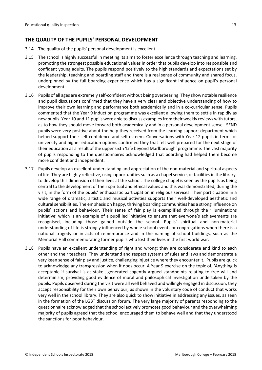## **THE QUALITY OF THE PUPILS' PERSONAL DEVELOPMENT**

- 3.14 The quality of the pupils' personal development is excellent.
- 3.15 The school is highly successful in meeting its aims to foster excellence through teaching and learning, promoting the strongest possible educational values in order that pupils develop into responsible and confident young adults. The pupils respond positively to the high standards and expectations set by the leadership, teaching and boarding staff and there is a real sense of community and shared focus, underpinned by the full boarding experience which has a significant influence on pupil's personal development.
- 3.16 Pupils of all ages are extremely self-confident without being overbearing. They show notable resilience and pupil discussions confirmed that they have a very clear and objective understanding of how to improve their own learning and performance both academically and in a co-curricular sense. Pupils commented that the Year 9 induction programme was excellent allowing them to settle in rapidly as new pupils. Year 10 and 11 pupils were able to discuss examples from their weekly reviews with tutors, as to how they should move forward both academically and in a personal development sense. SEND pupils were very positive about the help they received from the learning support department which helped support their self-confidence and self-esteem. Conversations with Year 12 pupils in terms of university and higher education options confirmed they that felt well prepared for the next stage of their education as a result of the upper sixth 'Life beyond Marlborough' programme. The vast majority of pupils responding to the questionnaires acknowledged that boarding had helped them become more confident and independent.
- 3.17 Pupils develop an excellent understanding and appreciation of the non-material and spiritual aspects of life. They are highly reflective, using opportunities such as a chapel service, or facilities in the library, to develop this dimension of their lives at the school. The college chapel is seen by the pupils as being central to the development of their spiritual and ethical values and this was demonstrated, during the visit, in the form of the pupils' enthusiastic participation in religious services. Their participation in a wide range of dramatic, artistic and musical activities supports their well-developed aesthetic and cultural sensibilities. The emphasis on happy, thriving boarding communities has a strong influence on pupils' actions and behaviour. Their sense of fair play is exemplified through the 'illuminations initiative' which is an example of a pupil led initiative to ensure that everyone's achievements are recognised, including those gained outside the school. Pupils' spiritual and non-material understanding of life is strongly influenced by whole school events or congregations when there is a national tragedy or in acts of remembrance and in the naming of school buildings, such as the Memorial Hall commemorating former pupils who lost their lives in the first world war.
- 3.18 Pupils have an excellent understanding of right and wrong: they are considerate and kind to each other and their teachers. They understand and respect systems of rules and laws and demonstrate a very keen sense of fair play and justice, challenging injustice where they encounter it. Pupils are quick to acknowledge any transgression when it does occur. A Year 9 exercise on the topic of, 'Anything is acceptable if survival is at stake', generated cogently argued standpoints relating to free will and determinism, providing good evidence of moral and philosophical investigation undertaken by the pupils. Pupils observed during the visit were all well behaved and willingly engaged in discussion, they accept responsibility for their own behaviour, as shown in the voluntary code of conduct that works very well in the school library. They are also quick to show initiative in addressing any issues, as seen in the formation of the LGBT discussion forum. The very large majority of parents responding to the questionnaire acknowledged that the school actively promotes good behaviour and the overwhelming majority of pupils agreed that the school encouraged them to behave well and that they understood the sanctions for poor behaviour.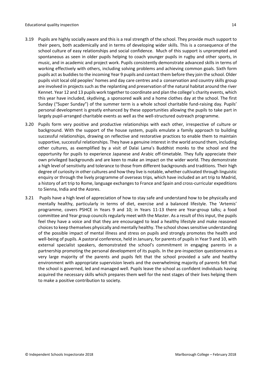- 3.19 Pupils are highly socially aware and this is a real strength of the school. They provide much support to their peers, both academically and in terms of developing wider skills. This is a consequence of the school culture of easy relationships and social confidence. Much of this support is unprompted and spontaneous as seen in older pupils helping to coach younger pupils in rugby and other sports, in music, and in academic and project work. Pupils consistently demonstrate advanced skills in terms of working effectively with others, including solving problems and achieving common goals. Sixth form pupils act as buddies to the incoming Year 9 pupils and contact them before they join the school. Older pupils visit local old peoples' homes and day care centres and a conservation and country skills group are involved in projects such as the replanting and preservation of the natural habitat around the river Kennet. Year 12 and 13 pupils work together to coordinate and plan the college's charity events, which this year have included, skydiving, a sponsored walk and a home clothes day at the school. The first Sunday ("Super Sunday") of the summer term is a whole school charitable fund-raising day. Pupils' personal development is greatly enhanced by these opportunities allowing the pupils to take part in largely pupil-arranged charitable events as well as the well-structured outreach programme.
- 3.20 Pupils form very positive and productive relationships with each other, irrespective of culture or background. With the support of the house system, pupils emulate a family approach to building successful relationships, drawing on reflective and restorative practices to enable them to maintain supportive, successful relationships. They have a genuine interest in the world around them, including other cultures, as exemplified by a visit of Dalai Lama's Buddhist monks to the school and the opportunity for pupils to experience Japanese and Arabic off-timetable. They fully appreciate their own privileged backgrounds and are keen to make an impact on the wider world. They demonstrate a high level of sensitivity and tolerance to those from different backgrounds and traditions. Their high degree of curiosity in other cultures and how they live is notable, whether cultivated through linguistic enquiry or through the lively programme of overseas trips, which have included an art trip to Madrid, a history of art trip to Rome, language exchanges to France and Spain and cross-curricular expeditions to Sienna, India and the Azores.
- 3.21 Pupils have a high level of appreciation of how to stay safe and understand how to be physically and mentally healthy, particularly in terms of diet, exercise and a balanced lifestyle. The 'Artemis' programme, covers PSHCE in Years 9 and 10; in Years 11-13 there are Year-group talks; a food committee and Year group councils regularly meet with the Master. As a result of this input, the pupils feel they have a voice and that they are encouraged to lead a healthy lifestyle and make reasoned choices to keep themselves physically and mentally healthy. The school shows sensitive understanding of the possible impact of mental illness and stress on pupils and strongly promotes the health and well-being of pupils. A pastoral conference, held in January, for parents of pupils in Year 9 and 10, with external specialist speakers, demonstrated the school's commitment in engaging parents in a partnership promoting the personal development of its pupils. In the pre-inspection questionnaires a very large majority of the parents and pupils felt that the school provided a safe and healthy environment with appropriate supervision levels and the overwhelming majority of parents felt that the school is governed, led and managed well. Pupils leave the school as confident individuals having acquired the necessary skills which prepares them well for the next stages of their lives helping them to make a positive contribution to society.